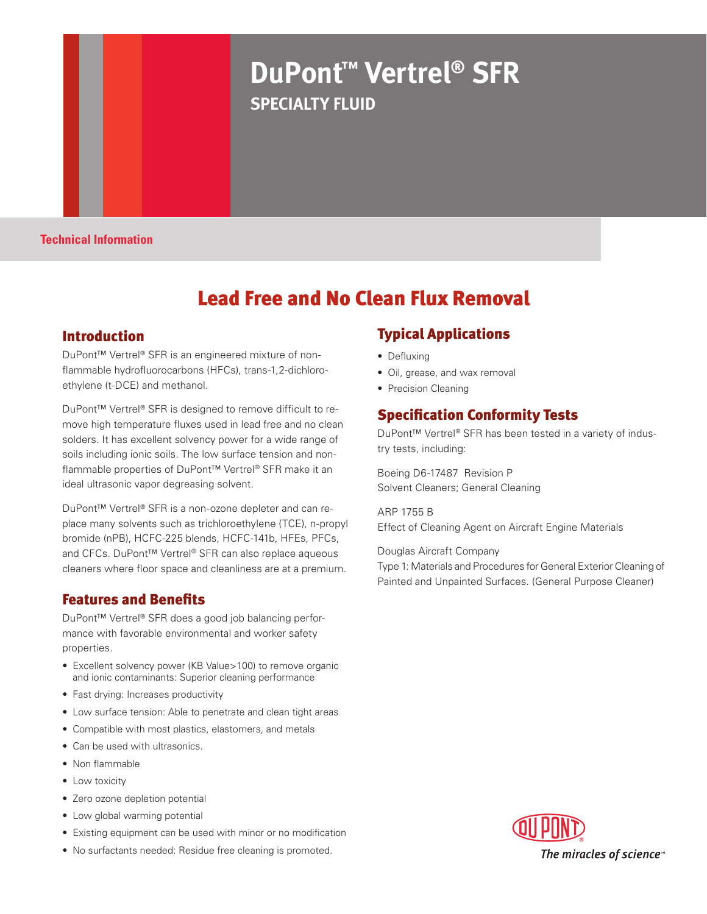# **DuPont™ Vertrel® SFR SPECIALTY FLUID**

**Technical Information**

# Lead Free and No Clean Flux Removal

#### Introduction

DuPont™ Vertrel® SFR is an engineered mixture of nonflammable hydrofluorocarbons (HFCs), trans-1,2-dichloroethylene (t-DCE) and methanol.

DuPont™ Vertrel® SFR is designed to remove difficult to remove high temperature fluxes used in lead free and no clean solders. It has excellent solvency power for a wide range of soils including ionic soils. The low surface tension and nonflammable properties of DuPont™ Vertrel® SFR make it an ideal ultrasonic vapor degreasing solvent.

DuPont™ Vertrel® SFR is a non-ozone depleter and can replace many solvents such as trichloroethylene (TCE), n-propyl bromide (nPB), HCFC-225 blends, HCFC-141b, HFEs, PFCs, and CFCs. DuPont™ Vertrel® SFR can also replace aqueous cleaners where floor space and cleanliness are at a premium.

#### Features and Benefits

DuPont™ Vertrel® SFR does a good job balancing performance with favorable environmental and worker safety properties.

- Excellent solvency power (KB Value>100) to remove organic and ionic contaminants: Superior cleaning performance
- Fast drying: Increases productivity
- Low surface tension: Able to penetrate and clean tight areas
- Compatible with most plastics, elastomers, and metals
- Can be used with ultrasonics.
- Non flammable
- Low toxicity
- Zero ozone depletion potential
- Low global warming potential
- Existing equipment can be used with minor or no modification
- No surfactants needed: Residue free cleaning is promoted.

#### Typical Applications

- Defluxing
- Oil, grease, and wax removal
- Precision Cleaning

#### Specification Conformity Tests

DuPont™ Vertrel® SFR has been tested in a variety of industry tests, including:

Boeing D6-17487 Revision P Solvent Cleaners; General Cleaning

ARP 1755 B Effect of Cleaning Agent on Aircraft Engine Materials

Douglas Aircraft Company

Type 1: Materials and Procedures for General Exterior Cleaning of Painted and Unpainted Surfaces. (General Purpose Cleaner)

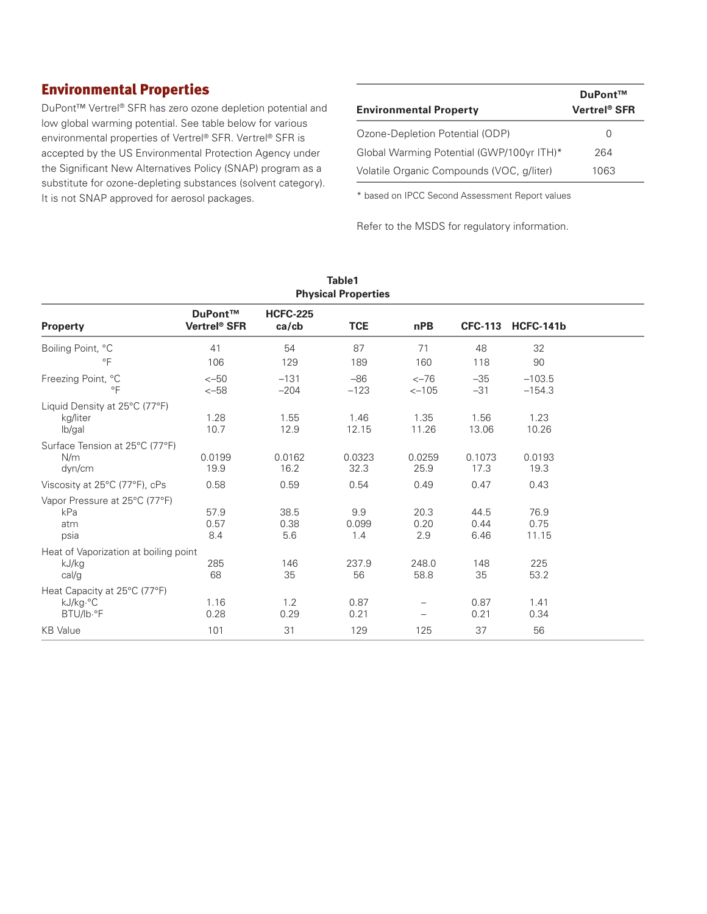## Environmental Properties

DuPont™ Vertrel® SFR has zero ozone depletion potential and low global warming potential. See table below for various environmental properties of Vertrel® SFR. Vertrel® SFR is accepted by the US Environmental Protection Agency under the Significant New Alternatives Policy (SNAP) program as a substitute for ozone-depleting substances (solvent category). It is not SNAP approved for aerosol packages.

| <b>Environmental Property</b>             | DuPont™<br>Vertrel® SFR |
|-------------------------------------------|-------------------------|
| Ozone-Depletion Potential (ODP)           | $\left( \right)$        |
| Global Warming Potential (GWP/100yr ITH)* | 264                     |
| Volatile Organic Compounds (VOC, g/liter) | 1063                    |

\* based on IPCC Second Assessment Report values

Refer to the MSDS for regulatory information.

| Table1<br><b>Physical Properties</b>                    |                                     |                                |                     |                     |                      |                       |  |
|---------------------------------------------------------|-------------------------------------|--------------------------------|---------------------|---------------------|----------------------|-----------------------|--|
| <b>Property</b>                                         | DuPont™<br>Vertrel <sup>®</sup> SFR | <b>HCFC-225</b><br>$ca$ / $cb$ | <b>TCE</b>          | nPB                 |                      | CFC-113 HCFC-141b     |  |
| Boiling Point, °C<br>$\circ$ F                          | 41<br>106                           | 54<br>129                      | 87<br>189           | 71<br>160           | 48<br>118            | 32<br>90              |  |
| Freezing Point, °C<br>$\circ$ F                         | $<-50$<br>$<-58$                    | $-131$<br>$-204$               | $-86$<br>$-123$     | $<-76$<br>$<-105$   | $-35$<br>$-31$       | $-103.5$<br>$-154.3$  |  |
| Liquid Density at 25°C (77°F)<br>kg/liter<br>lb/gal     | 1.28<br>10.7                        | 1.55<br>12.9                   | 1.46<br>12.15       | 1.35<br>11.26       | 1.56<br>13.06        | 1.23<br>10.26         |  |
| Surface Tension at 25°C (77°F)<br>N/m<br>dyn/cm         | 0.0199<br>19.9                      | 0.0162<br>16.2                 | 0.0323<br>32.3      | 0.0259<br>25.9      | 0.1073<br>17.3       | 0.0193<br>19.3        |  |
| Viscosity at 25°C (77°F), cPs                           | 0.58                                | 0.59                           | 0.54                | 0.49                | 0.47                 | 0.43                  |  |
| Vapor Pressure at 25°C (77°F)<br>kPa<br>atm<br>psia     | 57.9<br>0.57<br>8.4                 | 38.5<br>0.38<br>5.6            | 9.9<br>0.099<br>1.4 | 20.3<br>0.20<br>2.9 | 44.5<br>0.44<br>6.46 | 76.9<br>0.75<br>11.15 |  |
| Heat of Vaporization at boiling point<br>kJ/kg<br>cal/g | 285<br>68                           | 146<br>35                      | 237.9<br>56         | 248.0<br>58.8       | 148<br>35            | 225<br>53.2           |  |
| Heat Capacity at 25°C (77°F)<br>kJ/kg.°C<br>BTU/lb.°F   | 1.16<br>0.28                        | 1.2<br>0.29                    | 0.87<br>0.21        |                     | 0.87<br>0.21         | 1.41<br>0.34          |  |
| <b>KB</b> Value                                         | 101                                 | 31                             | 129                 | 125                 | 37                   | 56                    |  |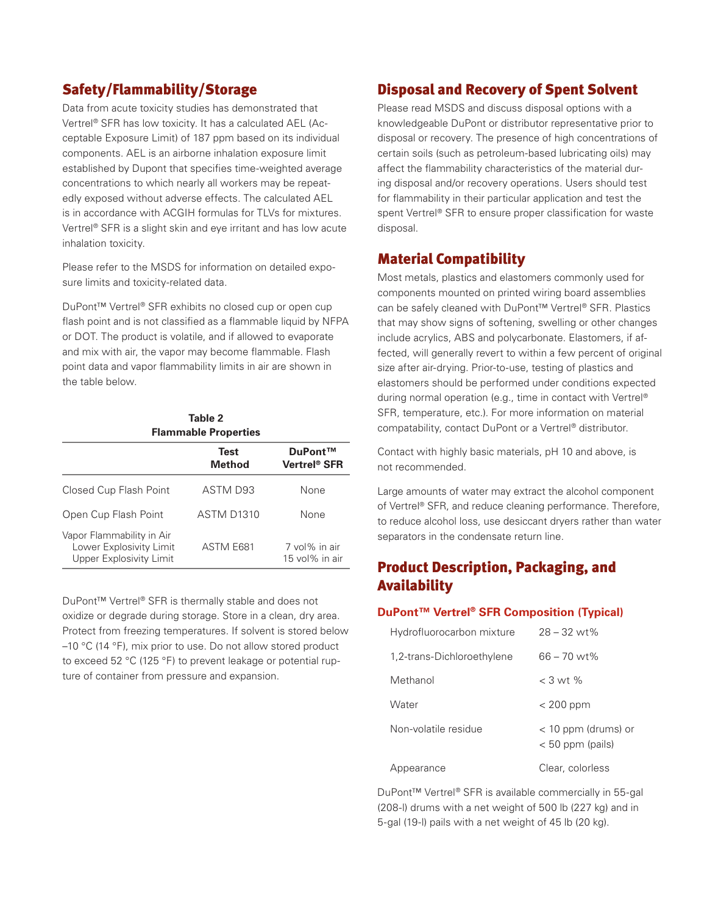#### Safety/Flammability/Storage

Data from acute toxicity studies has demonstrated that Vertrel® SFR has low toxicity. It has a calculated AEL (Acceptable Exposure Limit) of 187 ppm based on its individual components. AEL is an airborne inhalation exposure limit established by Dupont that specifies time-weighted average concentrations to which nearly all workers may be repeatedly exposed without adverse effects. The calculated AEL is in accordance with ACGIH formulas for TLVs for mixtures. Vertrel® SFR is a slight skin and eye irritant and has low acute inhalation toxicity.

Please refer to the MSDS for information on detailed exposure limits and toxicity-related data.

DuPont™ Vertrel® SFR exhibits no closed cup or open cup flash point and is not classified as a flammable liquid by NFPA or DOT. The product is volatile, and if allowed to evaporate and mix with air, the vapor may become flammable. Flash point data and vapor flammability limits in air are shown in the table below.

| Table 2<br><b>Flammable Properties</b>                                          |                              |                                     |  |  |  |
|---------------------------------------------------------------------------------|------------------------------|-------------------------------------|--|--|--|
|                                                                                 | <b>Test</b><br><b>Method</b> | DuPont™<br>Vertrel <sup>®</sup> SFR |  |  |  |
| Closed Cup Flash Point                                                          | ASTM D93                     | None                                |  |  |  |
| Open Cup Flash Point                                                            | <b>ASTM D1310</b>            | None                                |  |  |  |
| Vapor Flammability in Air<br>Lower Explosivity Limit<br>Upper Explosivity Limit | ASTM E681                    | 7 vol% in air<br>$15$ vol% in air   |  |  |  |

DuPont™ Vertrel® SFR is thermally stable and does not oxidize or degrade during storage. Store in a clean, dry area. Protect from freezing temperatures. If solvent is stored below –10 °C (14 °F), mix prior to use. Do not allow stored product to exceed 52 °C (125 °F) to prevent leakage or potential rupture of container from pressure and expansion.

#### Disposal and Recovery of Spent Solvent

Please read MSDS and discuss disposal options with a knowledgeable DuPont or distributor representative prior to disposal or recovery. The presence of high concentrations of certain soils (such as petroleum-based lubricating oils) may affect the flammability characteristics of the material during disposal and/or recovery operations. Users should test for flammability in their particular application and test the spent Vertrel® SFR to ensure proper classification for waste disposal.

#### Material Compatibility

Most metals, plastics and elastomers commonly used for components mounted on printed wiring board assemblies can be safely cleaned with DuPont™ Vertrel® SFR. Plastics that may show signs of softening, swelling or other changes include acrylics, ABS and polycarbonate. Elastomers, if affected, will generally revert to within a few percent of original size after air-drying. Prior-to-use, testing of plastics and elastomers should be performed under conditions expected during normal operation (e.g., time in contact with Vertrel® SFR, temperature, etc.). For more information on material compatability, contact DuPont or a Vertrel® distributor.

Contact with highly basic materials, pH 10 and above, is not recommended.

Large amounts of water may extract the alcohol component of Vertrel® SFR, and reduce cleaning performance. Therefore, to reduce alcohol loss, use desiccant dryers rather than water separators in the condensate return line.

## Product Description, Packaging, and Availability

#### **DuPont™ Vertrel® SFR Composition (Typical)**

| Hydrofluorocarbon mixture  | $28 - 32$ wt%                               |
|----------------------------|---------------------------------------------|
| 1,2-trans-Dichloroethylene | $66 - 70$ wt%                               |
| Methanol                   | $<$ 3 wt %                                  |
| Water                      | $< 200$ ppm                                 |
| Non-volatile residue       | $<$ 10 ppm (drums) or<br>$< 50$ ppm (pails) |
| earance                    | Clear, colorless                            |

DuPont™ Vertrel® SFR is available commercially in 55-gal (208-l) drums with a net weight of 500 lb (227 kg) and in 5-gal (19-l) pails with a net weight of 45 lb (20 kg).